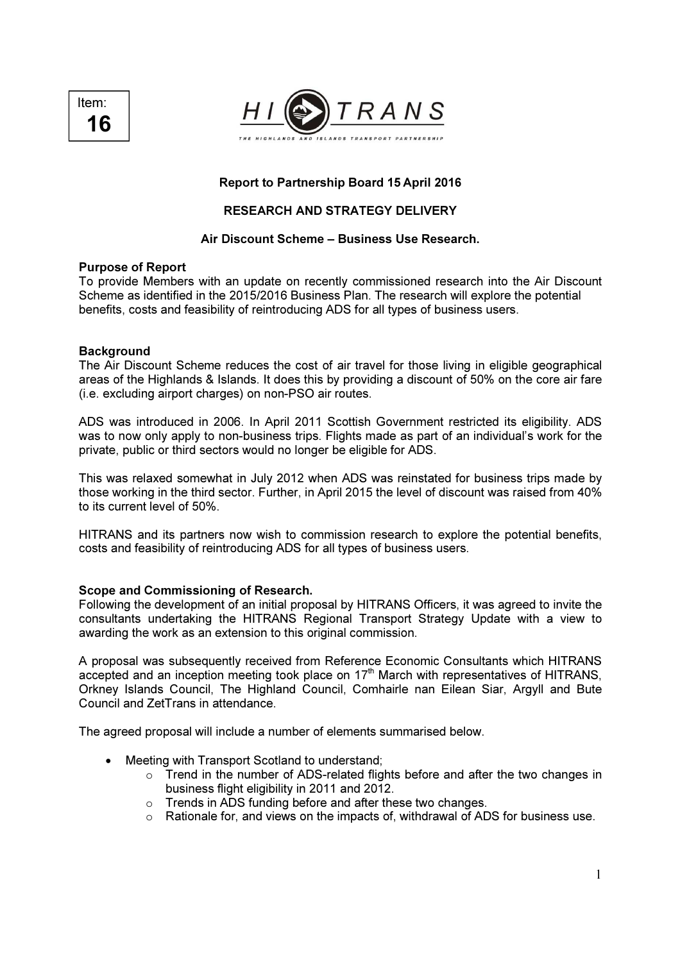



## Report to Partnership Board 15 April 2016

# RESEARCH AND STRATEGY DELIVERY

## Air Discount Scheme – Business Use Research.

#### Purpose of Report

To provide Members with an update on recently commissioned research into the Air Discount Scheme as identified in the 2015/2016 Business Plan. The research will explore the potential benefits, costs and feasibility of reintroducing ADS for all types of business users.

#### **Background**

The Air Discount Scheme reduces the cost of air travel for those living in eligible geographical areas of the Highlands & Islands. It does this by providing a discount of 50% on the core air fare (i.e. excluding airport charges) on non-PSO air routes.

ADS was introduced in 2006. In April 2011 Scottish Government restricted its eligibility. ADS was to now only apply to non-business trips. Flights made as part of an individual's work for the private, public or third sectors would no longer be eligible for ADS.

This was relaxed somewhat in July 2012 when ADS was reinstated for business trips made by those working in the third sector. Further, in April 2015 the level of discount was raised from 40% to its current level of 50%.

HITRANS and its partners now wish to commission research to explore the potential benefits, costs and feasibility of reintroducing ADS for all types of business users.

## Scope and Commissioning of Research.

Following the development of an initial proposal by HITRANS Officers, it was agreed to invite the consultants undertaking the HITRANS Regional Transport Strategy Update with a view to awarding the work as an extension to this original commission.

A proposal was subsequently received from Reference Economic Consultants which HITRANS accepted and an inception meeting took place on  $17<sup>th</sup>$  March with representatives of HITRANS, Orkney Islands Council, The Highland Council, Comhairle nan Eilean Siar, Argyll and Bute Council and ZetTrans in attendance.

The agreed proposal will include a number of elements summarised below.

- Meeting with Transport Scotland to understand;
	- o Trend in the number of ADS-related flights before and after the two changes in business flight eligibility in 2011 and 2012.
	- o Trends in ADS funding before and after these two changes.
	- $\circ$  Rationale for, and views on the impacts of, withdrawal of ADS for business use.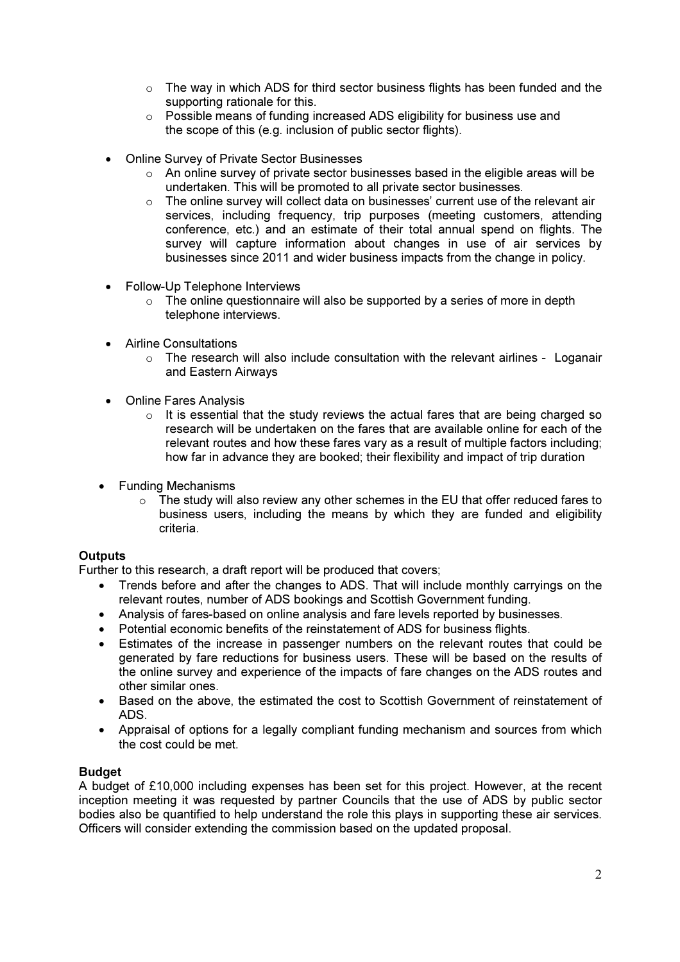- o The way in which ADS for third sector business flights has been funded and the supporting rationale for this.
- o Possible means of funding increased ADS eligibility for business use and the scope of this (e.g. inclusion of public sector flights).
- Online Survey of Private Sector Businesses
	- $\circ$  An online survey of private sector businesses based in the eligible areas will be undertaken. This will be promoted to all private sector businesses.
	- $\circ$  The online survey will collect data on businesses' current use of the relevant air services, including frequency, trip purposes (meeting customers, attending conference, etc.) and an estimate of their total annual spend on flights. The survey will capture information about changes in use of air services by businesses since 2011 and wider business impacts from the change in policy.
- Follow-Up Telephone Interviews
	- $\circ$  The online questionnaire will also be supported by a series of more in depth telephone interviews.
- Airline Consultations
	- $\circ$  The research will also include consultation with the relevant airlines Loganair and Eastern Airways
- Online Fares Analysis
	- $\circ$  It is essential that the study reviews the actual fares that are being charged so research will be undertaken on the fares that are available online for each of the relevant routes and how these fares vary as a result of multiple factors including; how far in advance they are booked; their flexibility and impact of trip duration
- Funding Mechanisms
	- $\circ$  The study will also review any other schemes in the EU that offer reduced fares to business users, including the means by which they are funded and eligibility criteria.

## **Outputs**

Further to this research, a draft report will be produced that covers;

- Trends before and after the changes to ADS. That will include monthly carryings on the relevant routes, number of ADS bookings and Scottish Government funding.
- Analysis of fares-based on online analysis and fare levels reported by businesses.
- Potential economic benefits of the reinstatement of ADS for business flights.
- Estimates of the increase in passenger numbers on the relevant routes that could be generated by fare reductions for business users. These will be based on the results of the online survey and experience of the impacts of fare changes on the ADS routes and other similar ones.
- Based on the above, the estimated the cost to Scottish Government of reinstatement of ADS.
- Appraisal of options for a legally compliant funding mechanism and sources from which the cost could be met.

# **Budget**

A budget of £10,000 including expenses has been set for this project. However, at the recent inception meeting it was requested by partner Councils that the use of ADS by public sector bodies also be quantified to help understand the role this plays in supporting these air services. Officers will consider extending the commission based on the updated proposal.